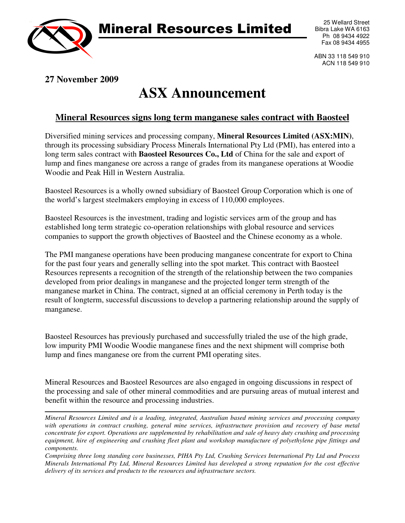

## Mineral Resources Limited

25 Wellard Street Bibra Lake WA 6163 Ph 08 9434 4922 Fax 08 9434 4955

ABN 33 118 549 910 ACN 118 549 910

## **27 November 2009**

## **ASX Announcement**

## **Mineral Resources signs long term manganese sales contract with Baosteel**

Diversified mining services and processing company, **Mineral Resources Limited (ASX:MIN)**, through its processing subsidiary Process Minerals International Pty Ltd (PMI), has entered into a long term sales contract with **Baosteel Resources Co., Ltd** of China for the sale and export of lump and fines manganese ore across a range of grades from its manganese operations at Woodie Woodie and Peak Hill in Western Australia.

Baosteel Resources is a wholly owned subsidiary of Baosteel Group Corporation which is one of the world's largest steelmakers employing in excess of 110,000 employees.

Baosteel Resources is the investment, trading and logistic services arm of the group and has established long term strategic co-operation relationships with global resource and services companies to support the growth objectives of Baosteel and the Chinese economy as a whole.

The PMI manganese operations have been producing manganese concentrate for export to China for the past four years and generally selling into the spot market. This contract with Baosteel Resources represents a recognition of the strength of the relationship between the two companies developed from prior dealings in manganese and the projected longer term strength of the manganese market in China. The contract, signed at an official ceremony in Perth today is the result of longterm, successful discussions to develop a partnering relationship around the supply of manganese.

Baosteel Resources has previously purchased and successfully trialed the use of the high grade, low impurity PMI Woodie Woodie manganese fines and the next shipment will comprise both lump and fines manganese ore from the current PMI operating sites.

Mineral Resources and Baosteel Resources are also engaged in ongoing discussions in respect of the processing and sale of other mineral commodities and are pursuing areas of mutual interest and benefit within the resource and processing industries.

*Mineral Resources Limited and is a leading, integrated, Australian based mining services and processing company*  with operations in contract crushing, general mine services, infrastructure provision and recovery of base metal *concentrate for export. Operations are supplemented by rehabilitation and sale of heavy duty crushing and processing equipment, hire of engineering and crushing fleet plant and workshop manufacture of polyethylene pipe fittings and components.* 

*Comprising three long standing core businesses, PIHA Pty Ltd, Crushing Services International Pty Ltd and Process Minerals International Pty Ltd, Mineral Resources Limited has developed a strong reputation for the cost effective delivery of its services and products to the resources and infrastructure sectors.*